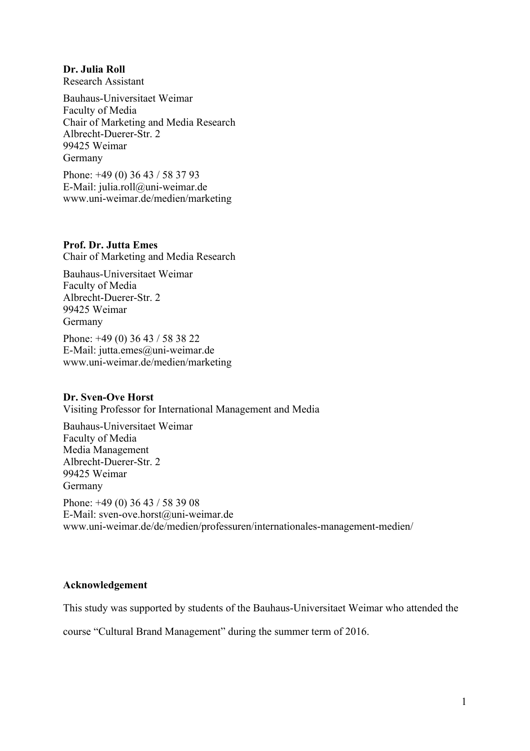## **Dr. Julia Roll**

Research Assistant

Bauhaus-Universitaet Weimar Faculty of Media Chair of Marketing and Media Research Albrecht-Duerer-Str. 2 99425 Weimar Germany

Phone: +49 (0) 36 43 / 58 37 93 E-Mail: julia.roll@uni-weimar.de www.uni-weimar.de/medien/marketing

**Prof. Dr. Jutta Emes** Chair of Marketing and Media Research

Bauhaus-Universitaet Weimar Faculty of Media Albrecht-Duerer-Str. 2 99425 Weimar Germany

Phone: +49 (0) 36 43 / 58 38 22 E-Mail: jutta.emes@uni-weimar.de www.uni-weimar.de/medien/marketing

## **Dr. Sven-Ove Horst**

Visiting Professor for International Management and Media

Bauhaus-Universitaet Weimar Faculty of Media Media Management Albrecht-Duerer-Str. 2 99425 Weimar Germany Phone: +49 (0) 36 43 / 58 39 08 E-Mail: sven-ove.horst@uni-weimar.de www.uni-weimar.de/de/medien/professuren/internationales-management-medien/

## **Acknowledgement**

This study was supported by students of the Bauhaus-Universitaet Weimar who attended the

course "Cultural Brand Management" during the summer term of 2016.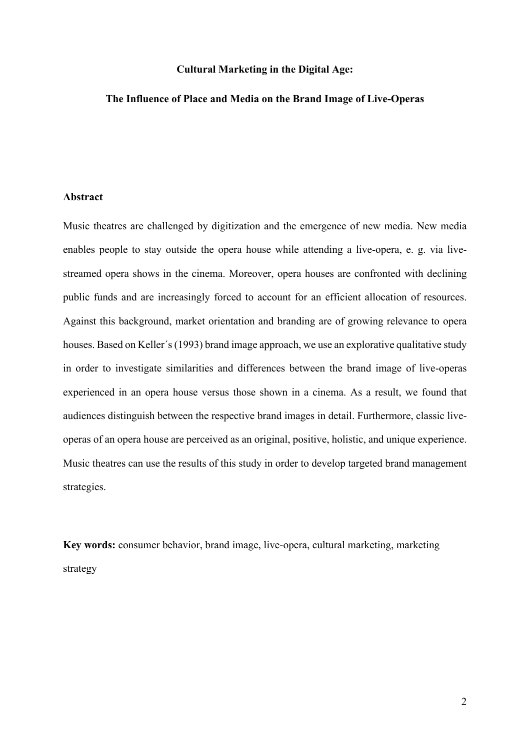## **Cultural Marketing in the Digital Age:**

## **The Influence of Place and Media on the Brand Image of Live-Operas**

#### **Abstract**

Music theatres are challenged by digitization and the emergence of new media. New media enables people to stay outside the opera house while attending a live-opera, e. g. via livestreamed opera shows in the cinema. Moreover, opera houses are confronted with declining public funds and are increasingly forced to account for an efficient allocation of resources. Against this background, market orientation and branding are of growing relevance to opera houses. Based on Keller΄s (1993) brand image approach, we use an explorative qualitative study in order to investigate similarities and differences between the brand image of live-operas experienced in an opera house versus those shown in a cinema. As a result, we found that audiences distinguish between the respective brand images in detail. Furthermore, classic liveoperas of an opera house are perceived as an original, positive, holistic, and unique experience. Music theatres can use the results of this study in order to develop targeted brand management strategies.

**Key words:** consumer behavior, brand image, live-opera, cultural marketing, marketing strategy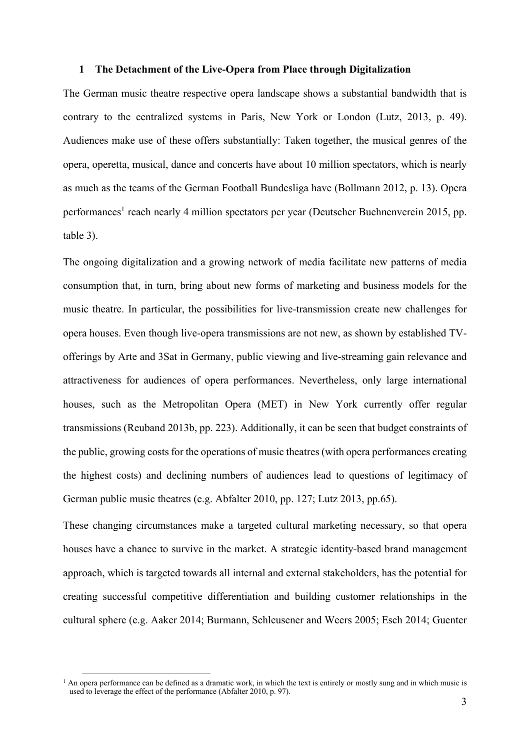#### **1 The Detachment of the Live-Opera from Place through Digitalization**

The German music theatre respective opera landscape shows a substantial bandwidth that is contrary to the centralized systems in Paris, New York or London (Lutz, 2013, p. 49). Audiences make use of these offers substantially: Taken together, the musical genres of the opera, operetta, musical, dance and concerts have about 10 million spectators, which is nearly as much as the teams of the German Football Bundesliga have (Bollmann 2012, p. 13). Opera performances<sup>1</sup> reach nearly 4 million spectators per year (Deutscher Buehnenverein 2015, pp. table 3).

The ongoing digitalization and a growing network of media facilitate new patterns of media consumption that, in turn, bring about new forms of marketing and business models for the music theatre. In particular, the possibilities for live-transmission create new challenges for opera houses. Even though live-opera transmissions are not new, as shown by established TVofferings by Arte and 3Sat in Germany, public viewing and live-streaming gain relevance and attractiveness for audiences of opera performances. Nevertheless, only large international houses, such as the Metropolitan Opera (MET) in New York currently offer regular transmissions (Reuband 2013b, pp. 223). Additionally, it can be seen that budget constraints of the public, growing costs for the operations of music theatres (with opera performances creating the highest costs) and declining numbers of audiences lead to questions of legitimacy of German public music theatres (e.g. Abfalter 2010, pp. 127; Lutz 2013, pp.65).

These changing circumstances make a targeted cultural marketing necessary, so that opera houses have a chance to survive in the market. A strategic identity-based brand management approach, which is targeted towards all internal and external stakeholders, has the potential for creating successful competitive differentiation and building customer relationships in the cultural sphere (e.g. Aaker 2014; Burmann, Schleusener and Weers 2005; Esch 2014; Guenter

<sup>&</sup>lt;sup>1</sup> An opera performance can be defined as a dramatic work, in which the text is entirely or mostly sung and in which music is used to leverage the effect of the performance (Abfalter 2010, p. 97).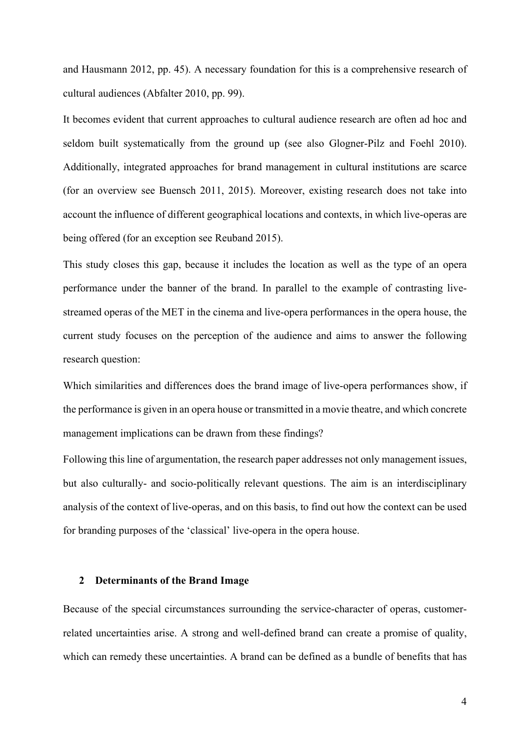and Hausmann 2012, pp. 45). A necessary foundation for this is a comprehensive research of cultural audiences (Abfalter 2010, pp. 99).

It becomes evident that current approaches to cultural audience research are often ad hoc and seldom built systematically from the ground up (see also Glogner-Pilz and Foehl 2010). Additionally, integrated approaches for brand management in cultural institutions are scarce (for an overview see Buensch 2011, 2015). Moreover, existing research does not take into account the influence of different geographical locations and contexts, in which live-operas are being offered (for an exception see Reuband 2015).

This study closes this gap, because it includes the location as well as the type of an opera performance under the banner of the brand. In parallel to the example of contrasting livestreamed operas of the MET in the cinema and live-opera performances in the opera house, the current study focuses on the perception of the audience and aims to answer the following research question:

Which similarities and differences does the brand image of live-opera performances show, if the performance is given in an opera house or transmitted in a movie theatre, and which concrete management implications can be drawn from these findings?

Following this line of argumentation, the research paper addresses not only management issues, but also culturally- and socio-politically relevant questions. The aim is an interdisciplinary analysis of the context of live-operas, and on this basis, to find out how the context can be used for branding purposes of the 'classical' live-opera in the opera house.

#### **2 Determinants of the Brand Image**

Because of the special circumstances surrounding the service-character of operas, customerrelated uncertainties arise. A strong and well-defined brand can create a promise of quality, which can remedy these uncertainties. A brand can be defined as a bundle of benefits that has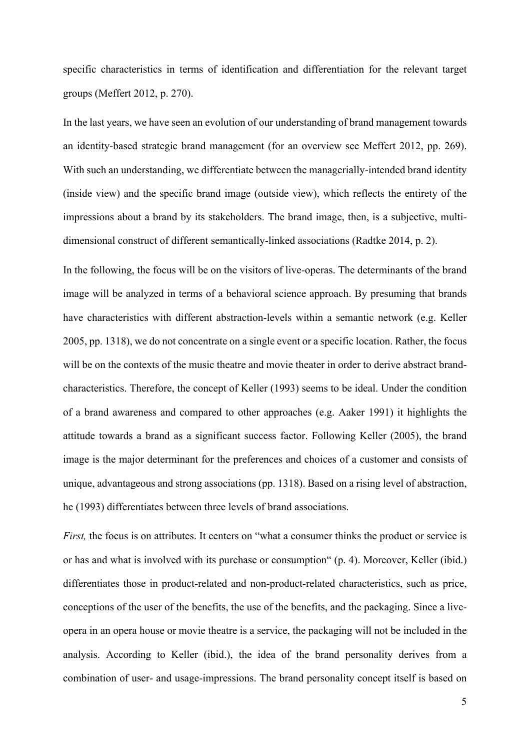specific characteristics in terms of identification and differentiation for the relevant target groups (Meffert 2012, p. 270).

In the last years, we have seen an evolution of our understanding of brand management towards an identity-based strategic brand management (for an overview see Meffert 2012, pp. 269). With such an understanding, we differentiate between the managerially-intended brand identity (inside view) and the specific brand image (outside view), which reflects the entirety of the impressions about a brand by its stakeholders. The brand image, then, is a subjective, multidimensional construct of different semantically-linked associations (Radtke 2014, p. 2).

In the following, the focus will be on the visitors of live-operas. The determinants of the brand image will be analyzed in terms of a behavioral science approach. By presuming that brands have characteristics with different abstraction-levels within a semantic network (e.g. Keller 2005, pp. 1318), we do not concentrate on a single event or a specific location. Rather, the focus will be on the contexts of the music theatre and movie theater in order to derive abstract brandcharacteristics. Therefore, the concept of Keller (1993) seems to be ideal. Under the condition of a brand awareness and compared to other approaches (e.g. Aaker 1991) it highlights the attitude towards a brand as a significant success factor. Following Keller (2005), the brand image is the major determinant for the preferences and choices of a customer and consists of unique, advantageous and strong associations (pp. 1318). Based on a rising level of abstraction, he (1993) differentiates between three levels of brand associations.

*First*, the focus is on attributes. It centers on "what a consumer thinks the product or service is or has and what is involved with its purchase or consumption" (p. 4). Moreover, Keller (ibid.) differentiates those in product-related and non-product-related characteristics, such as price, conceptions of the user of the benefits, the use of the benefits, and the packaging. Since a liveopera in an opera house or movie theatre is a service, the packaging will not be included in the analysis. According to Keller (ibid.), the idea of the brand personality derives from a combination of user- and usage-impressions. The brand personality concept itself is based on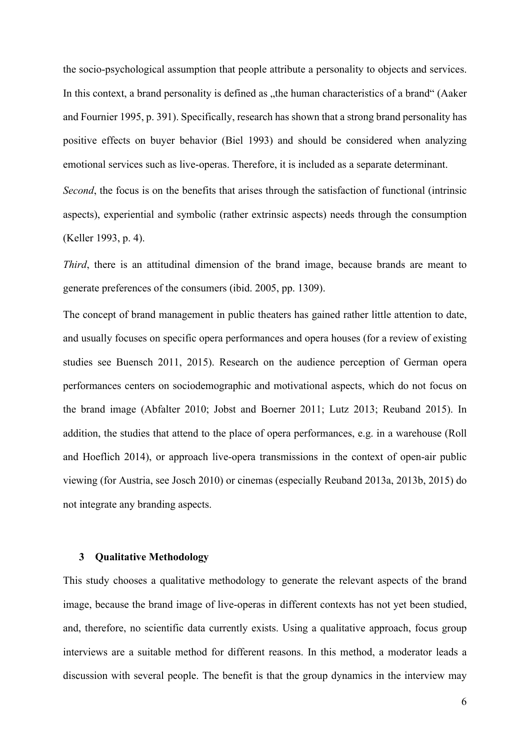the socio-psychological assumption that people attribute a personality to objects and services. In this context, a brand personality is defined as "the human characteristics of a brand" (Aaker and Fournier 1995, p. 391). Specifically, research has shown that a strong brand personality has positive effects on buyer behavior (Biel 1993) and should be considered when analyzing emotional services such as live-operas. Therefore, it is included as a separate determinant. *Second*, the focus is on the benefits that arises through the satisfaction of functional (intrinsic aspects), experiential and symbolic (rather extrinsic aspects) needs through the consumption (Keller 1993, p. 4).

*Third*, there is an attitudinal dimension of the brand image, because brands are meant to generate preferences of the consumers (ibid. 2005, pp. 1309).

The concept of brand management in public theaters has gained rather little attention to date, and usually focuses on specific opera performances and opera houses (for a review of existing studies see Buensch 2011, 2015). Research on the audience perception of German opera performances centers on sociodemographic and motivational aspects, which do not focus on the brand image (Abfalter 2010; Jobst and Boerner 2011; Lutz 2013; Reuband 2015). In addition, the studies that attend to the place of opera performances, e.g. in a warehouse (Roll and Hoeflich 2014), or approach live-opera transmissions in the context of open-air public viewing (for Austria, see Josch 2010) or cinemas (especially Reuband 2013a, 2013b, 2015) do not integrate any branding aspects.

### **3 Qualitative Methodology**

This study chooses a qualitative methodology to generate the relevant aspects of the brand image, because the brand image of live-operas in different contexts has not yet been studied, and, therefore, no scientific data currently exists. Using a qualitative approach, focus group interviews are a suitable method for different reasons. In this method, a moderator leads a discussion with several people. The benefit is that the group dynamics in the interview may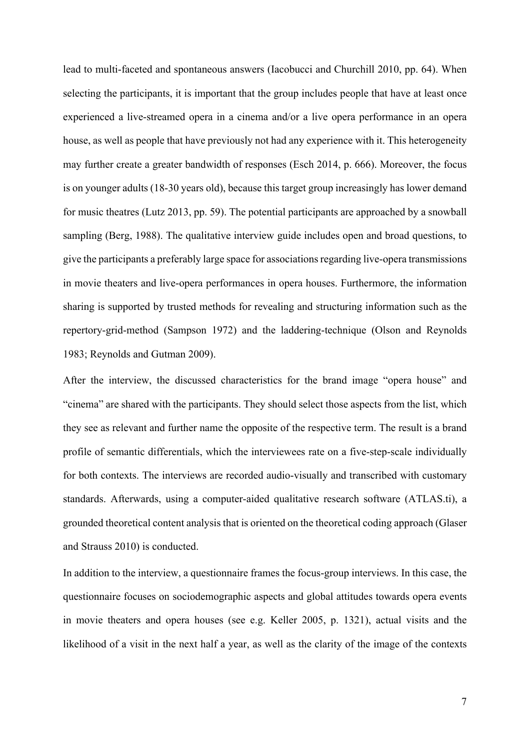lead to multi-faceted and spontaneous answers (Iacobucci and Churchill 2010, pp. 64). When selecting the participants, it is important that the group includes people that have at least once experienced a live-streamed opera in a cinema and/or a live opera performance in an opera house, as well as people that have previously not had any experience with it. This heterogeneity may further create a greater bandwidth of responses (Esch 2014, p. 666). Moreover, the focus is on younger adults (18-30 years old), because this target group increasingly has lower demand for music theatres (Lutz 2013, pp. 59). The potential participants are approached by a snowball sampling (Berg, 1988). The qualitative interview guide includes open and broad questions, to give the participants a preferably large space for associations regarding live-opera transmissions in movie theaters and live-opera performances in opera houses. Furthermore, the information sharing is supported by trusted methods for revealing and structuring information such as the repertory-grid-method (Sampson 1972) and the laddering-technique (Olson and Reynolds 1983; Reynolds and Gutman 2009).

After the interview, the discussed characteristics for the brand image "opera house" and "cinema" are shared with the participants. They should select those aspects from the list, which they see as relevant and further name the opposite of the respective term. The result is a brand profile of semantic differentials, which the interviewees rate on a five-step-scale individually for both contexts. The interviews are recorded audio-visually and transcribed with customary standards. Afterwards, using a computer-aided qualitative research software (ATLAS.ti), a grounded theoretical content analysis that is oriented on the theoretical coding approach (Glaser and Strauss 2010) is conducted.

In addition to the interview, a questionnaire frames the focus-group interviews. In this case, the questionnaire focuses on sociodemographic aspects and global attitudes towards opera events in movie theaters and opera houses (see e.g. Keller 2005, p. 1321), actual visits and the likelihood of a visit in the next half a year, as well as the clarity of the image of the contexts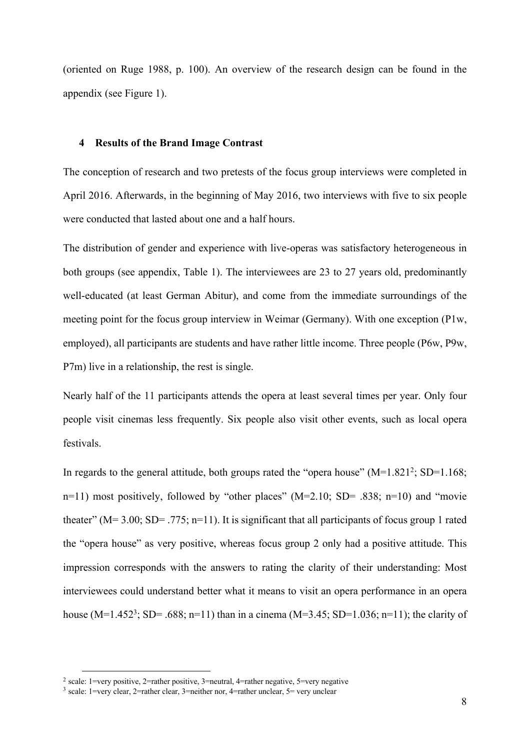(oriented on Ruge 1988, p. 100). An overview of the research design can be found in the appendix (see Figure 1).

#### **4 Results of the Brand Image Contrast**

The conception of research and two pretests of the focus group interviews were completed in April 2016. Afterwards, in the beginning of May 2016, two interviews with five to six people were conducted that lasted about one and a half hours.

The distribution of gender and experience with live-operas was satisfactory heterogeneous in both groups (see appendix, Table 1). The interviewees are 23 to 27 years old, predominantly well-educated (at least German Abitur), and come from the immediate surroundings of the meeting point for the focus group interview in Weimar (Germany). With one exception (P1w, employed), all participants are students and have rather little income. Three people (P6w, P9w, P7m) live in a relationship, the rest is single.

Nearly half of the 11 participants attends the opera at least several times per year. Only four people visit cinemas less frequently. Six people also visit other events, such as local opera festivals.

In regards to the general attitude, both groups rated the "opera house"  $(M=1.821^2; SD=1.168;$ n=11) most positively, followed by "other places" (M=2.10; SD= .838; n=10) and "movie theater" ( $M = 3.00$ ;  $SD = .775$ ;  $n=11$ ). It is significant that all participants of focus group 1 rated the "opera house" as very positive, whereas focus group 2 only had a positive attitude. This impression corresponds with the answers to rating the clarity of their understanding: Most interviewees could understand better what it means to visit an opera performance in an opera house (M=1.452<sup>3</sup>; SD= .688; n=11) than in a cinema (M=3.45; SD=1.036; n=11); the clarity of

<sup>&</sup>lt;sup>2</sup> scale: 1=very positive, 2=rather positive, 3=neutral, 4=rather negative, 5=very negative

<sup>3</sup> scale: 1=very clear, 2=rather clear, 3=neither nor, 4=rather unclear, 5= very unclear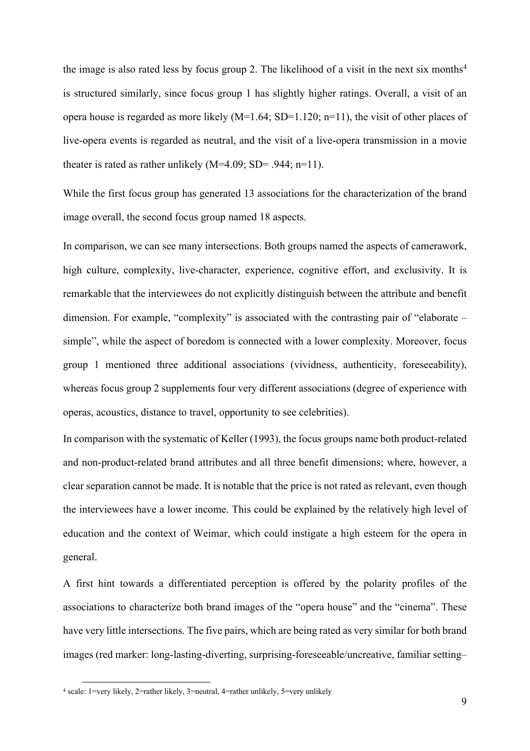the image is also rated less by focus group 2. The likelihood of a visit in the next six months<sup>4</sup> is structured similarly, since focus group 1 has slightly higher ratings. Overall, a visit of an opera house is regarded as more likely  $(M=1.64; SD=1.120; n=11)$ , the visit of other places of live-opera events is regarded as neutral, and the visit of a live-opera transmission in a movie theater is rated as rather unlikely  $(M=4.09; SD= .944; n=11)$ .

While the first focus group has generated 13 associations for the characterization of the brand image overall, the second focus group named 18 aspects.

In comparison, we can see many intersections. Both groups named the aspects of camerawork, high culture, complexity, live-character, experience, cognitive effort, and exclusivity. It is remarkable that the interviewees do not explicitly distinguish between the attribute and benefit dimension. For example, "complexity" is associated with the contrasting pair of "elaborate – simple", while the aspect of boredom is connected with a lower complexity. Moreover, focus group 1 mentioned three additional associations (vividness, authenticity, foreseeability), whereas focus group 2 supplements four very different associations (degree of experience with operas, acoustics, distance to travel, opportunity to see celebrities).

In comparison with the systematic of Keller (1993), the focus groups name both product-related and non-product-related brand attributes and all three benefit dimensions; where, however, a clear separation cannot be made. It is notable that the price is not rated as relevant, even though the interviewees have a lower income. This could be explained by the relatively high level of education and the context of Weimar, which could instigate a high esteem for the opera in general.

A first hint towards a differentiated perception is offered by the polarity profiles of the associations to characterize both brand images of the "opera house" and the "cinema". These have very little intersections. The five pairs, which are being rated as very similar for both brand images (red marker: long-lasting-diverting, surprising-foreseeable/uncreative, familiar setting–

 <sup>4</sup> scale: 1=very likely, 2=rather likely, 3=neutral, 4=rather unlikely, 5=very unlikely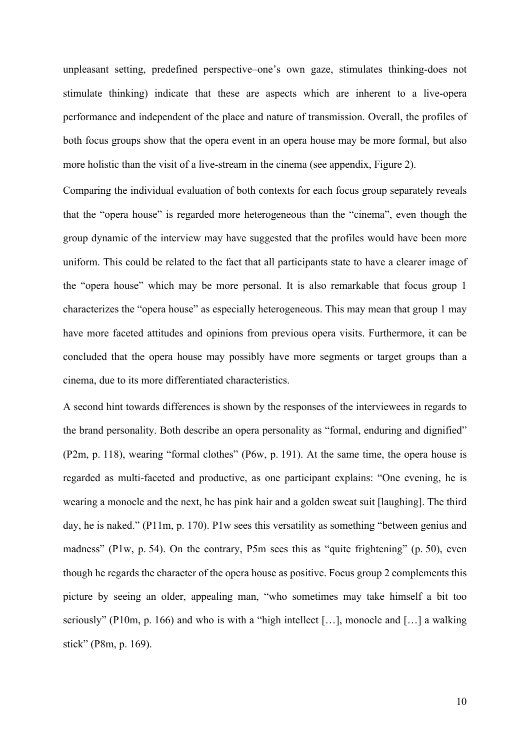unpleasant setting, predefined perspective–one's own gaze, stimulates thinking-does not stimulate thinking) indicate that these are aspects which are inherent to a live-opera performance and independent of the place and nature of transmission. Overall, the profiles of both focus groups show that the opera event in an opera house may be more formal, but also more holistic than the visit of a live-stream in the cinema (see appendix, Figure 2).

Comparing the individual evaluation of both contexts for each focus group separately reveals that the "opera house" is regarded more heterogeneous than the "cinema", even though the group dynamic of the interview may have suggested that the profiles would have been more uniform. This could be related to the fact that all participants state to have a clearer image of the "opera house" which may be more personal. It is also remarkable that focus group 1 characterizes the "opera house" as especially heterogeneous. This may mean that group 1 may have more faceted attitudes and opinions from previous opera visits. Furthermore, it can be concluded that the opera house may possibly have more segments or target groups than a cinema, due to its more differentiated characteristics.

A second hint towards differences is shown by the responses of the interviewees in regards to the brand personality. Both describe an opera personality as "formal, enduring and dignified" (P2m, p. 118), wearing "formal clothes" (P6w, p. 191). At the same time, the opera house is regarded as multi-faceted and productive, as one participant explains: "One evening, he is wearing a monocle and the next, he has pink hair and a golden sweat suit [laughing]. The third day, he is naked." (P11m, p. 170). P1w sees this versatility as something "between genius and madness" (P1w, p. 54). On the contrary, P5m sees this as "quite frightening" (p. 50), even though he regards the character of the opera house as positive. Focus group 2 complements this picture by seeing an older, appealing man, "who sometimes may take himself a bit too seriously" (P10m, p. 166) and who is with a "high intellect […], monocle and […] a walking stick" (P8m, p. 169).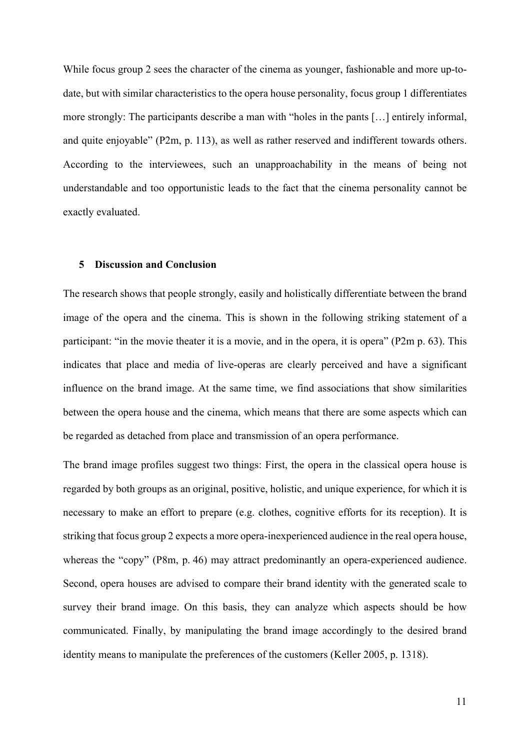While focus group 2 sees the character of the cinema as younger, fashionable and more up-todate, but with similar characteristics to the opera house personality, focus group 1 differentiates more strongly: The participants describe a man with "holes in the pants […] entirely informal, and quite enjoyable" (P2m, p. 113), as well as rather reserved and indifferent towards others. According to the interviewees, such an unapproachability in the means of being not understandable and too opportunistic leads to the fact that the cinema personality cannot be exactly evaluated.

#### **5 Discussion and Conclusion**

The research shows that people strongly, easily and holistically differentiate between the brand image of the opera and the cinema. This is shown in the following striking statement of a participant: "in the movie theater it is a movie, and in the opera, it is opera" (P2m p. 63). This indicates that place and media of live-operas are clearly perceived and have a significant influence on the brand image. At the same time, we find associations that show similarities between the opera house and the cinema, which means that there are some aspects which can be regarded as detached from place and transmission of an opera performance.

The brand image profiles suggest two things: First, the opera in the classical opera house is regarded by both groups as an original, positive, holistic, and unique experience, for which it is necessary to make an effort to prepare (e.g. clothes, cognitive efforts for its reception). It is striking that focus group 2 expects a more opera-inexperienced audience in the real opera house, whereas the "copy" (P8m, p. 46) may attract predominantly an opera-experienced audience. Second, opera houses are advised to compare their brand identity with the generated scale to survey their brand image. On this basis, they can analyze which aspects should be how communicated. Finally, by manipulating the brand image accordingly to the desired brand identity means to manipulate the preferences of the customers (Keller 2005, p. 1318).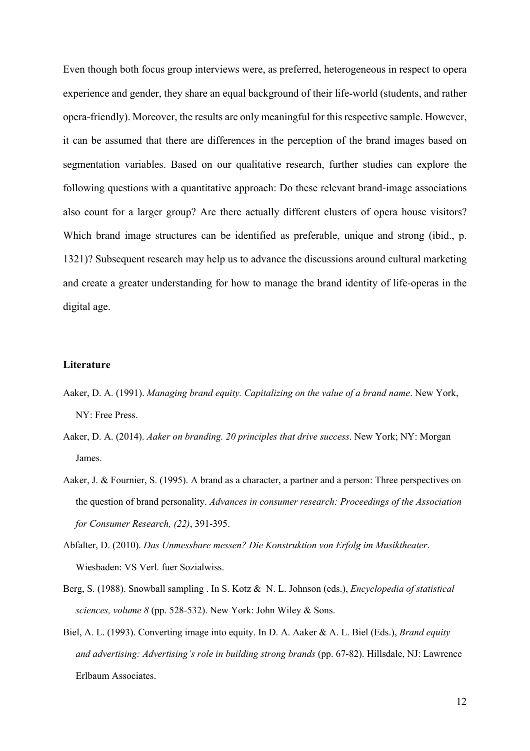Even though both focus group interviews were, as preferred, heterogeneous in respect to opera experience and gender, they share an equal background of their life-world (students, and rather opera-friendly). Moreover, the results are only meaningful for this respective sample. However, it can be assumed that there are differences in the perception of the brand images based on segmentation variables. Based on our qualitative research, further studies can explore the following questions with a quantitative approach: Do these relevant brand-image associations also count for a larger group? Are there actually different clusters of opera house visitors? Which brand image structures can be identified as preferable, unique and strong (ibid., p. 1321)? Subsequent research may help us to advance the discussions around cultural marketing and create a greater understanding for how to manage the brand identity of life-operas in the digital age.

## **Literature**

- Aaker, D. A. (1991). *Managing brand equity. Capitalizing on the value of a brand name*. New York, NY: Free Press.
- Aaker, D. A. (2014). *Aaker on branding. 20 principles that drive success*. New York; NY: Morgan James.
- Aaker, J. & Fournier, S. (1995). A brand as a character, a partner and a person: Three perspectives on the question of brand personality. *Advances in consumer research: Proceedings of the Association for Consumer Research, (22)*, 391-395.
- Abfalter, D. (2010). *Das Unmessbare messen? Die Konstruktion von Erfolg im Musiktheater*. Wiesbaden: VS Verl. fuer Sozialwiss.
- Berg, S. (1988). Snowball sampling . In S. Kotz & N. L. Johnson (eds.), *Encyclopedia of statistical sciences, volume 8* (pp. 528-532). New York: John Wiley & Sons.
- Biel, A. L. (1993). Converting image into equity. In D. A. Aaker & A. L. Biel (Eds.), *Brand equity and advertising: Advertisingʾs role in building strong brands* (pp. 67-82). Hillsdale, NJ: Lawrence Erlbaum Associates.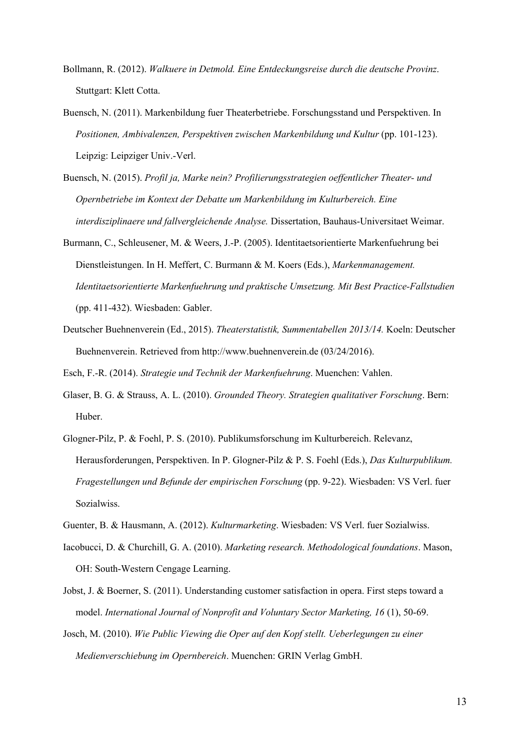- Bollmann, R. (2012). *Walkuere in Detmold. Eine Entdeckungsreise durch die deutsche Provinz*. Stuttgart: Klett Cotta.
- Buensch, N. (2011). Markenbildung fuer Theaterbetriebe. Forschungsstand und Perspektiven. In *Positionen, Ambivalenzen, Perspektiven zwischen Markenbildung und Kultur (pp. 101-123).* Leipzig: Leipziger Univ.-Verl.
- Buensch, N. (2015). *Profil ja, Marke nein? Profilierungsstrategien oeffentlicher Theater- und Opernbetriebe im Kontext der Debatte um Markenbildung im Kulturbereich. Eine interdisziplinaere und fallvergleichende Analyse.* Dissertation, Bauhaus-Universitaet Weimar.
- Burmann, C., Schleusener, M. & Weers, J.-P. (2005). Identitaetsorientierte Markenfuehrung bei Dienstleistungen. In H. Meffert, C. Burmann & M. Koers (Eds.), *Markenmanagement. Identitaetsorientierte Markenfuehrung und praktische Umsetzung. Mit Best Practice-Fallstudien*  (pp. 411-432). Wiesbaden: Gabler.
- Deutscher Buehnenverein (Ed., 2015). *Theaterstatistik, Summentabellen 2013/14.* Koeln: Deutscher Buehnenverein. Retrieved from http://www.buehnenverein.de (03/24/2016).

Esch, F.-R. (2014). *Strategie und Technik der Markenfuehrung*. Muenchen: Vahlen.

- Glaser, B. G. & Strauss, A. L. (2010). *Grounded Theory. Strategien qualitativer Forschung*. Bern: Huber.
- Glogner-Pilz, P. & Foehl, P. S. (2010). Publikumsforschung im Kulturbereich. Relevanz, Herausforderungen, Perspektiven. In P. Glogner-Pilz & P. S. Foehl (Eds.), *Das Kulturpublikum. Fragestellungen und Befunde der empirischen Forschung* (pp. 9-22). Wiesbaden: VS Verl. fuer Sozialwiss.
- Guenter, B. & Hausmann, A. (2012). *Kulturmarketing*. Wiesbaden: VS Verl. fuer Sozialwiss.
- Iacobucci, D. & Churchill, G. A. (2010). *Marketing research. Methodological foundations*. Mason, OH: South-Western Cengage Learning.
- Jobst, J. & Boerner, S. (2011). Understanding customer satisfaction in opera. First steps toward a model. *International Journal of Nonprofit and Voluntary Sector Marketing, 16 (1), 50-69.*
- Josch, M. (2010). *Wie Public Viewing die Oper auf den Kopf stellt. Ueberlegungen zu einer Medienverschiebung im Opernbereich*. Muenchen: GRIN Verlag GmbH.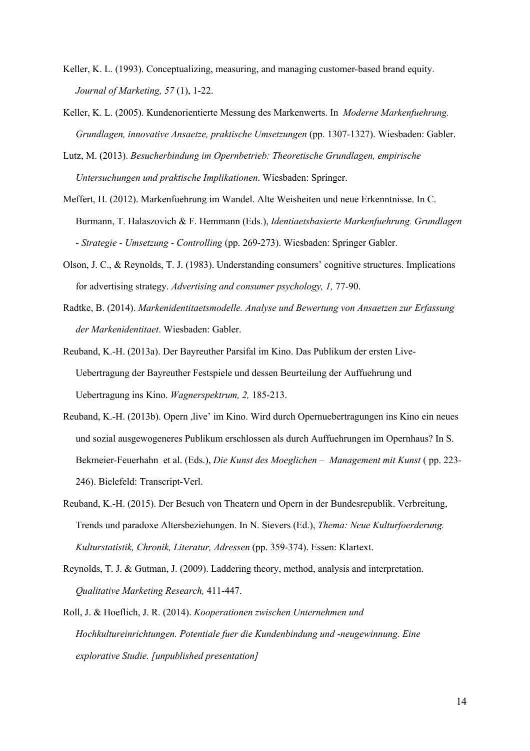- Keller, K. L. (1993). Conceptualizing, measuring, and managing customer-based brand equity. *Journal of Marketing, 57* (1), 1-22.
- Keller, K. L. (2005). Kundenorientierte Messung des Markenwerts. In *Moderne Markenfuehrung. Grundlagen, innovative Ansaetze, praktische Umsetzungen* (pp. 1307-1327). Wiesbaden: Gabler.
- Lutz, M. (2013). *Besucherbindung im Opernbetrieb: Theoretische Grundlagen, empirische Untersuchungen und praktische Implikationen*. Wiesbaden: Springer.
- Meffert, H. (2012). Markenfuehrung im Wandel. Alte Weisheiten und neue Erkenntnisse. In C. Burmann, T. Halaszovich & F. Hemmann (Eds.), *Identiaetsbasierte Markenfuehrung. Grundlagen - Strategie - Umsetzung - Controlling* (pp. 269-273). Wiesbaden: Springer Gabler.
- Olson, J. C., & Reynolds, T. J. (1983). Understanding consumers' cognitive structures. Implications for advertising strategy. *Advertising and consumer psychology, 1,* 77-90.
- Radtke, B. (2014). *Markenidentitaetsmodelle. Analyse und Bewertung von Ansaetzen zur Erfassung der Markenidentitaet*. Wiesbaden: Gabler.
- Reuband, K.-H. (2013a). Der Bayreuther Parsifal im Kino. Das Publikum der ersten Live-Uebertragung der Bayreuther Festspiele und dessen Beurteilung der Auffuehrung und Uebertragung ins Kino. *Wagnerspektrum, 2,* 185-213.
- Reuband, K.-H. (2013b). Opern ,live' im Kino. Wird durch Opernuebertragungen ins Kino ein neues und sozial ausgewogeneres Publikum erschlossen als durch Auffuehrungen im Opernhaus? In S. Bekmeier-Feuerhahn et al. (Eds.), *Die Kunst des Moeglichen – Management mit Kunst* ( pp. 223- 246). Bielefeld: Transcript-Verl.
- Reuband, K.-H. (2015). Der Besuch von Theatern und Opern in der Bundesrepublik. Verbreitung, Trends und paradoxe Altersbeziehungen. In N. Sievers (Ed.), *Thema: Neue Kulturfoerderung. Kulturstatistik, Chronik, Literatur, Adressen* (pp. 359-374). Essen: Klartext.
- Reynolds, T. J. & Gutman, J. (2009). Laddering theory, method, analysis and interpretation. *Qualitative Marketing Research,* 411-447.
- Roll, J. & Hoeflich, J. R. (2014). *Kooperationen zwischen Unternehmen und Hochkultureinrichtungen. Potentiale fuer die Kundenbindung und -neugewinnung. Eine explorative Studie. [unpublished presentation]*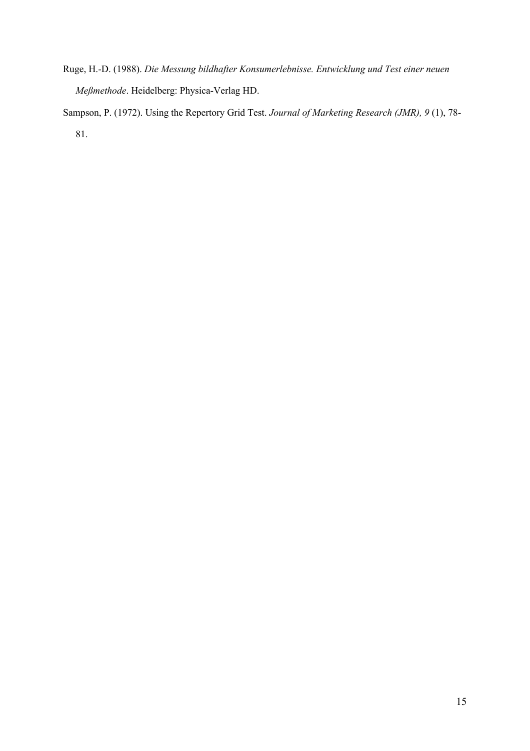- Ruge, H.-D. (1988). *Die Messung bildhafter Konsumerlebnisse. Entwicklung und Test einer neuen Meßmethode*. Heidelberg: Physica-Verlag HD.
- Sampson, P. (1972). Using the Repertory Grid Test. *Journal of Marketing Research (JMR), 9* (1), 78- 81.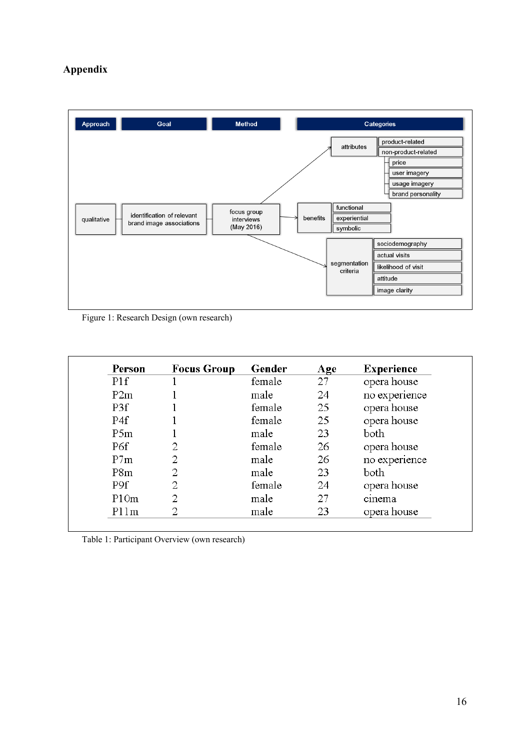# **Appendix**



Figure 1: Research Design (own research)

| Person | <b>Focus Group</b> | Gender | Age | <b>Experience</b> |
|--------|--------------------|--------|-----|-------------------|
| PIf    |                    | female | 27  | opera house       |
| P2m    |                    | male   | 24  | no experience     |
| P3f    |                    | female | 25  | opera house       |
| P4f    |                    | female | 25  | opera house       |
| P5m    |                    | male   | 23  | both              |
| P6f    | 2                  | female | 26  | opera house       |
| P7m    | 2                  | male   | 26  | no experience     |
| P8m    | 2                  | male   | 23  | both              |
| P9f    | 2                  | female | 24  | opera house       |
| P10m   | 2                  | male   | 27  | cinema            |
| P11m   | റ                  | male   | 23  | opera house       |

Table 1: Participant Overview (own research)